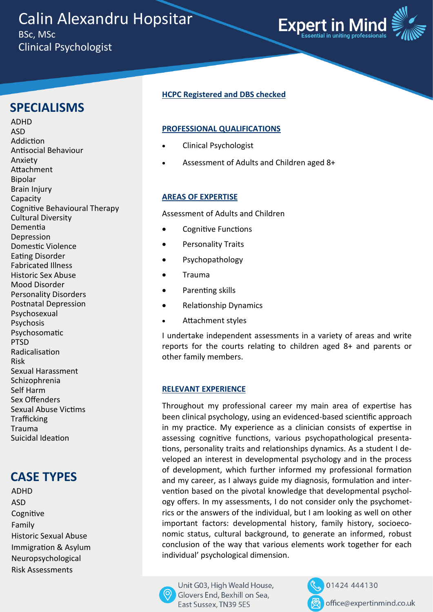Calin Alexandru Hopsitar BSc, MSc Clinical Psychologist



## **SPECIALISMS**

ADHD ASD Addiction Antisocial Behaviour Anxiety Attachment Bipolar Brain Injury Capacity Cognitive Behavioural Therapy Cultural Diversity Dementia Depression Domestic Violence Eating Disorder Fabricated Illness Historic Sex Abuse Mood Disorder Personality Disorders Postnatal Depression Psychosexual Psychosis Psychosomatic PTSD Radicalisation Risk Sexual Harassment Schizophrenia Self Harm Sex Offenders Sexual Abuse Victims **Trafficking** Trauma Suicidal Ideation

# **CASE TYPES**

ADHD ASD **Cognitive** Family Historic Sexual Abuse Immigration & Asylum Neuropsychological Risk Assessments

## **HCPC Registered and DBS checked**

## **PROFESSIONAL QUALIFICATIONS**

- Clinical Psychologist
- Assessment of Adults and Children aged 8+

#### **AREAS OF EXPERTISE**

Assessment of Adults and Children

- Cognitive Functions
- Personality Traits
- Psychopathology
- Trauma
- Parenting skills
- Relationship Dynamics
- Attachment styles

I undertake independent assessments in a variety of areas and write reports for the courts relating to children aged 8+ and parents or other family members.

#### **RELEVANT EXPERIENCE**

Throughout my professional career my main area of expertise has been clinical psychology, using an evidenced-based scientific approach in my practice. My experience as a clinician consists of expertise in assessing cognitive functions, various psychopathological presentations, personality traits and relationships dynamics. As a student I developed an interest in developmental psychology and in the process of development, which further informed my professional formation and my career, as I always guide my diagnosis, formulation and intervention based on the pivotal knowledge that developmental psychology offers. In my assessments, I do not consider only the psychometrics or the answers of the individual, but I am looking as well on other important factors: developmental history, family history, socioeconomic status, cultural background, to generate an informed, robust conclusion of the way that various elements work together for each individual' psychological dimension.



01424 444130 office@expertinmind.co.uk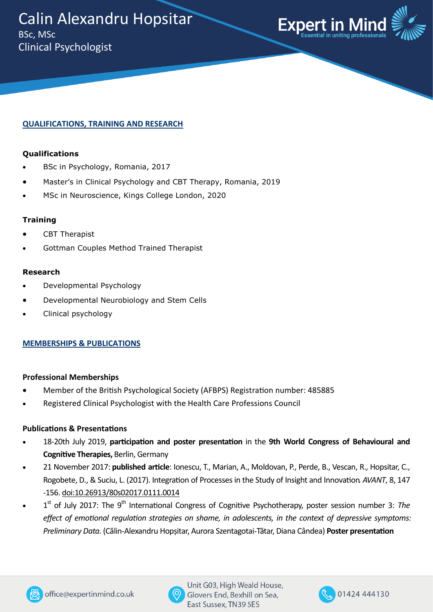

## **QUALIFICATIONS, TRAINING AND RESEARCH**

#### **Qualifications**

- BSc in Psychology, Romania, 2017
- Master's in Clinical Psychology and CBT Therapy, Romania, 2019
- MSc in Neuroscience, Kings College London, 2020

#### **Training**

- CBT Therapist
- Gottman Couples Method Trained Therapist

#### **Research**

- Developmental Psychology
- Developmental Neurobiology and Stem Cells
- Clinical psychology

## **MEMBERSHIPS & PUBLICATIONS**

#### **Professional Memberships**

- Member of the British Psychological Society (AFBPS) Registration number: 485885
- Registered Clinical Psychologist with the Health Care Professions Council

## **Publications & Presentations**

- 18-20th July 2019, **participation and poster presentation** in the **9th World Congress of Behavioural and Cognitive Therapies,** Berlin, Germany
- 21 November 2017: **published article**: Ionescu, T., Marian, A., Moldovan, P., Perde, B., Vescan, R., Hopsitar, C., Rogobete, D., & Suciu, L. (2017). Integration of Processes in the Study of Insight and Innovation*. AVANT*, 8, 147 -156. [doi:10.26913/80s02017.0111.0014](https://doi.org/10.26913/80s02017.0111.0014)
- 1<sup>st</sup> of July 2017: The 9<sup>th</sup> International Congress of Cognitive Psychotherapy, poster session number 3: The *effect of emotional regulation strategies on shame, in adolescents, in the context of depressive symptoms: Preliminary Data*. (Călin-Alexandru Hopșitar, Aurora Szentagotai-Tătar, Diana Cândea) **Poster presentation**